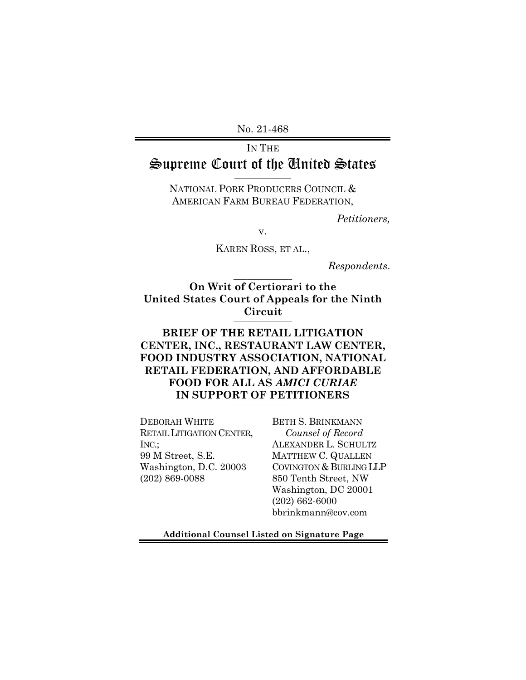No. 21-468

# IN THE Supreme Court of the United States \_\_\_\_\_\_\_\_\_\_\_

NATIONAL PORK PRODUCERS COUNCIL & AMERICAN FARM BUREAU FEDERATION,

*Petitioners,*

v.

KAREN ROSS, ET AL.,

*Respondents*.

**On Writ of Certiorari to the United States Court of Appeals for the Ninth Circuit** \_\_\_\_\_\_\_\_\_\_\_\_\_\_\_\_\_

 $\overline{\phantom{a}}$  , where the contract of the contract of the contract of the contract of the contract of the contract of the contract of the contract of the contract of the contract of the contract of the contract of the contr

## **BRIEF OF THE RETAIL LITIGATION CENTER, INC., RESTAURANT LAW CENTER, FOOD INDUSTRY ASSOCIATION, NATIONAL RETAIL FEDERATION, AND AFFORDABLE FOOD FOR ALL AS** *AMICI CURIAE* IN SUPPORT OF PETITIONERS

DEBORAH WHITE RETAIL LITIGATION CENTER, INC.; 99 M Street, S.E. Washington, D.C. 20003 (202) 869-0088

BETH S. BRINKMANN *Counsel of Record* ALEXANDER L. SCHULTZ MATTHEW C. QUALLEN COVINGTON & BURLING LLP 850 Tenth Street, NW Washington, DC 20001 (202) 662-6000 bbrinkmann@cov.com

**Additional Counsel Listed on Signature Page**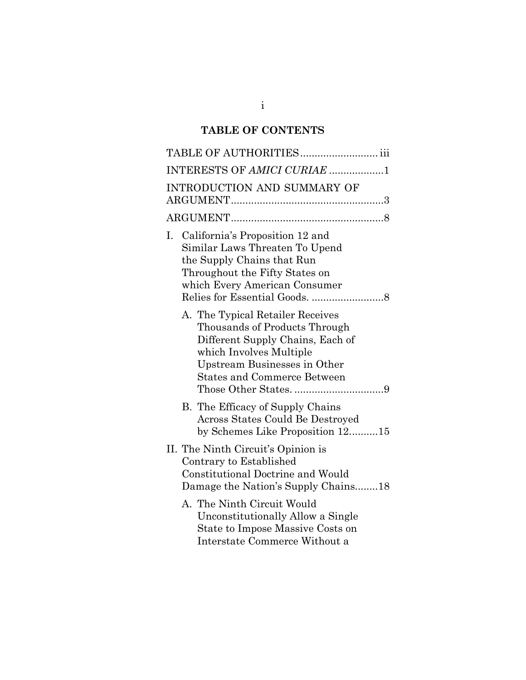# **TABLE OF CONTENTS**

| TABLE OF AUTHORITIES iii                                                                                                                                                                               |
|--------------------------------------------------------------------------------------------------------------------------------------------------------------------------------------------------------|
| INTERESTS OF AMICI CURIAE 1                                                                                                                                                                            |
| INTRODUCTION AND SUMMARY OF                                                                                                                                                                            |
|                                                                                                                                                                                                        |
| California's Proposition 12 and<br>I.<br>Similar Laws Threaten To Upend<br>the Supply Chains that Run<br>Throughout the Fifty States on<br>which Every American Consumer                               |
| A. The Typical Retailer Receives<br>Thousands of Products Through<br>Different Supply Chains, Each of<br>which Involves Multiple<br>Upstream Businesses in Other<br><b>States and Commerce Between</b> |
| B. The Efficacy of Supply Chains<br>Across States Could Be Destroyed<br>by Schemes Like Proposition 1215                                                                                               |
| II. The Ninth Circuit's Opinion is<br>Contrary to Established<br>Constitutional Doctrine and Would<br>Damage the Nation's Supply Chains18                                                              |
| A. The Ninth Circuit Would<br>Unconstitutionally Allow a Single<br>State to Impose Massive Costs on<br>Interstate Commerce Without a                                                                   |

i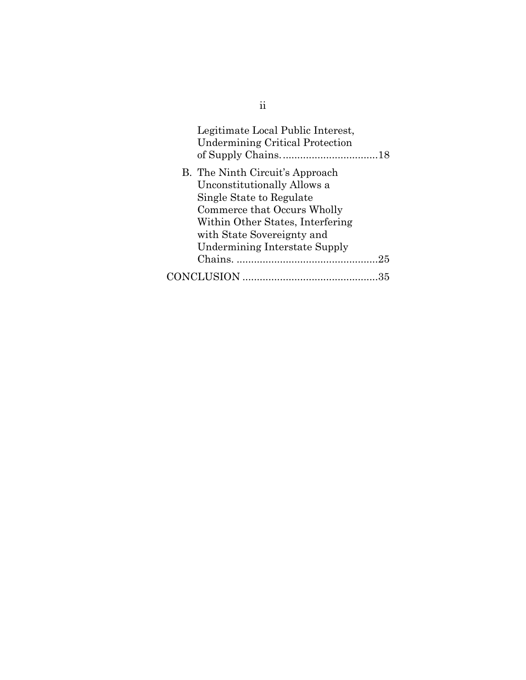| Legitimate Local Public Interest,<br><b>Undermining Critical Protection</b> |
|-----------------------------------------------------------------------------|
| B. The Ninth Circuit's Approach                                             |
| Unconstitutionally Allows a                                                 |
| Single State to Regulate                                                    |
| Commerce that Occurs Wholly                                                 |
| Within Other States, Interfering                                            |
| with State Sovereignty and                                                  |
| <b>Undermining Interstate Supply</b>                                        |
|                                                                             |
|                                                                             |

ii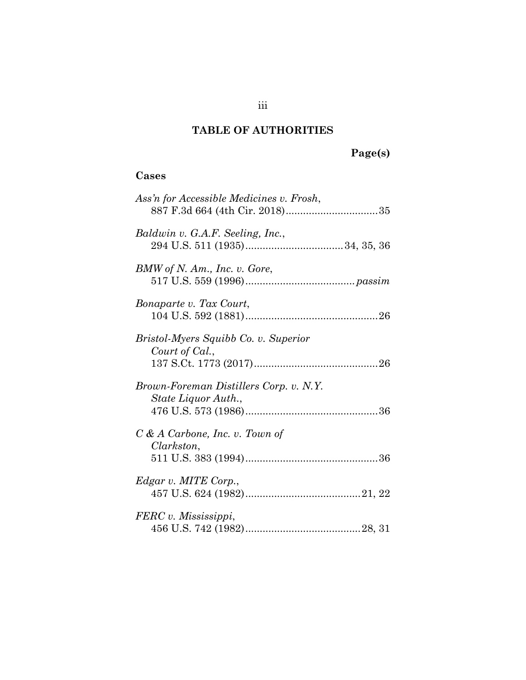# **TABLE OF AUTHORITIES**

# **Page(s)**

## **Cases**

| Ass'n for Accessible Medicines v. Frosh,                      |
|---------------------------------------------------------------|
| Baldwin v. G.A.F. Seeling, Inc.,                              |
| BMW of N. Am., Inc. v. Gore,                                  |
| Bonaparte v. Tax Court,                                       |
| Bristol-Myers Squibb Co. v. Superior<br>Court of Cal.,        |
| Brown-Foreman Distillers Corp. v. N.Y.<br>State Liquor Auth., |
| $C & A$ Carbone, Inc. v. Town of<br>Clarkston,                |
| Edgar v. MITE Corp.,                                          |
| FERC v. Mississippi,                                          |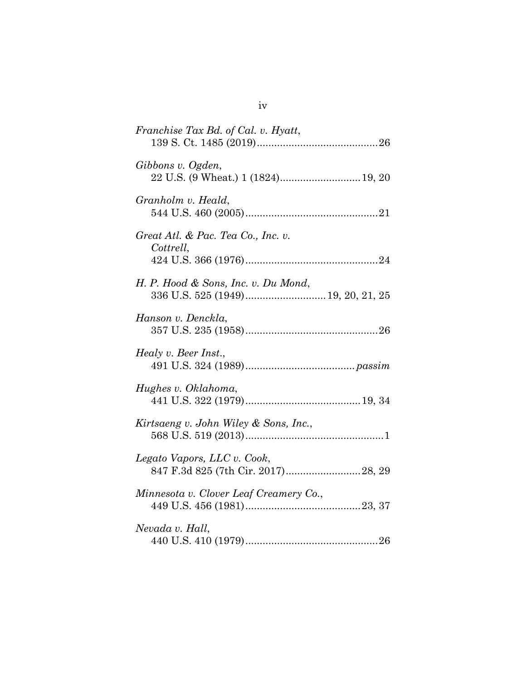| Gibbons v. Ogden,<br>22 U.S. (9 Wheat.) 1 (1824) 19, 20<br>Granholm v. Heald,<br>Great Atl. & Pac. Tea Co., Inc. v.<br>Cottrell,<br>H. P. Hood & Sons, Inc. v. Du Mond,<br>Hanson v. Denckla,<br>Healy v. Beer Inst.,<br>Hughes v. Oklahoma,<br>Kirtsaeng v. John Wiley & Sons, Inc., |
|---------------------------------------------------------------------------------------------------------------------------------------------------------------------------------------------------------------------------------------------------------------------------------------|
|                                                                                                                                                                                                                                                                                       |
|                                                                                                                                                                                                                                                                                       |
|                                                                                                                                                                                                                                                                                       |
|                                                                                                                                                                                                                                                                                       |
|                                                                                                                                                                                                                                                                                       |
|                                                                                                                                                                                                                                                                                       |
|                                                                                                                                                                                                                                                                                       |
|                                                                                                                                                                                                                                                                                       |
| Legato Vapors, LLC v. Cook,                                                                                                                                                                                                                                                           |
| Minnesota v. Clover Leaf Creamery Co.,                                                                                                                                                                                                                                                |
| Nevada v. Hall,                                                                                                                                                                                                                                                                       |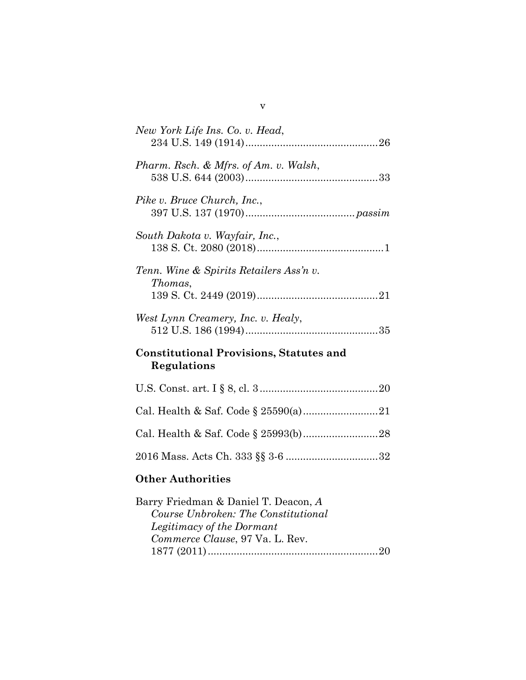| New York Life Ins. Co. v. Head,                                             |
|-----------------------------------------------------------------------------|
| Pharm. Rsch. & Mfrs. of Am. v. Walsh,                                       |
| Pike v. Bruce Church, Inc.,                                                 |
| South Dakota v. Wayfair, Inc.,                                              |
| Tenn. Wine & Spirits Retailers Ass'n v.<br>Thomas,                          |
| West Lynn Creamery, Inc. v. Healy,                                          |
| <b>Constitutional Provisions, Statutes and</b><br>Regulations               |
|                                                                             |
|                                                                             |
|                                                                             |
|                                                                             |
| <b>Other Authorities</b>                                                    |
| Barry Friedman & Daniel T. Deacon, A<br>Course Unbroken: The Constitutional |

| $_{\rm{part}}$ , Fricaman & Danier F. Deacon, A |
|-------------------------------------------------|
| Course Unbroken: The Constitutional             |
| Legitimacy of the Dormant                       |
| Commerce Clause, 97 Va. L. Rev.                 |
|                                                 |
|                                                 |

v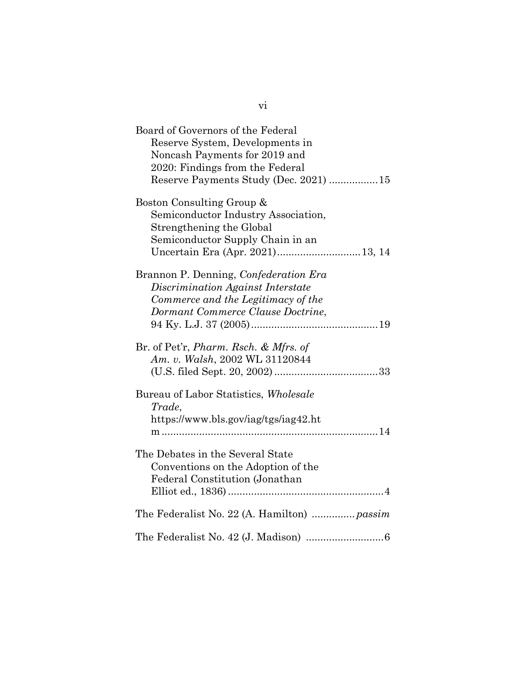| Board of Governors of the Federal<br>Reserve System, Developments in<br>Noncash Payments for 2019 and<br>2020: Findings from the Federal<br>Reserve Payments Study (Dec. 2021) 15 |
|-----------------------------------------------------------------------------------------------------------------------------------------------------------------------------------|
| Boston Consulting Group &<br>Semiconductor Industry Association,<br>Strengthening the Global<br>Semiconductor Supply Chain in an<br>Uncertain Era (Apr. 2021)13, 14               |
| Brannon P. Denning, Confederation Era<br>Discrimination Against Interstate<br>Commerce and the Legitimacy of the<br>Dormant Commerce Clause Doctrine,                             |
| Br. of Pet'r, <i>Pharm. Rsch. &amp; Mfrs. of</i><br>Am. v. Walsh, 2002 WL 31120844                                                                                                |
| Bureau of Labor Statistics, Wholesale<br>Trade,<br>https://www.bls.gov/iag/tgs/iag42.ht                                                                                           |
| The Debates in the Several State<br>Conventions on the Adoption of the<br>Federal Constitution (Jonathan                                                                          |
|                                                                                                                                                                                   |
|                                                                                                                                                                                   |

vi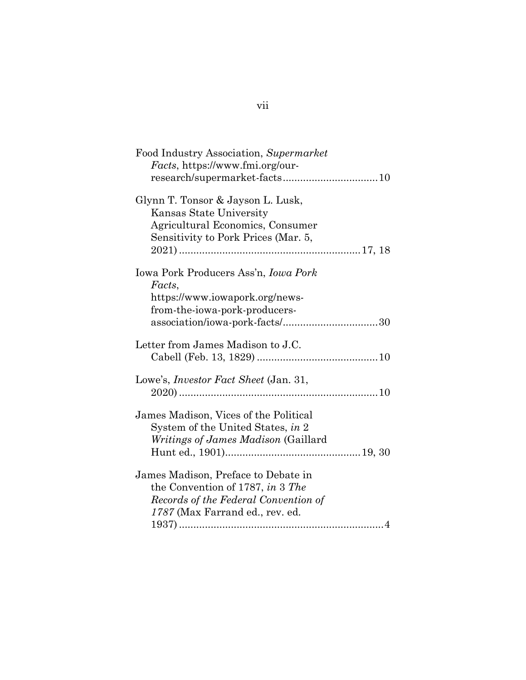| Food Industry Association, Supermarket<br><i>Facts</i> , https://www.fmi.org/our-                                                                  |
|----------------------------------------------------------------------------------------------------------------------------------------------------|
| Glynn T. Tonsor & Jayson L. Lusk,<br>Kansas State University<br>Agricultural Economics, Consumer<br>Sensitivity to Pork Prices (Mar. 5,            |
| Iowa Pork Producers Ass'n, <i>Iowa Pork</i><br>Facts,<br>https://www.iowapork.org/news-<br>from-the-iowa-pork-producers-                           |
| Letter from James Madison to J.C.                                                                                                                  |
| Lowe's, <i>Investor Fact Sheet</i> (Jan. 31,                                                                                                       |
| James Madison, Vices of the Political<br>System of the United States, in 2<br><i>Writings of James Madison</i> (Gaillard                           |
| James Madison, Preface to Debate in<br>the Convention of 1787, in 3 The<br>Records of the Federal Convention of<br>1787 (Max Farrand ed., rev. ed. |

vii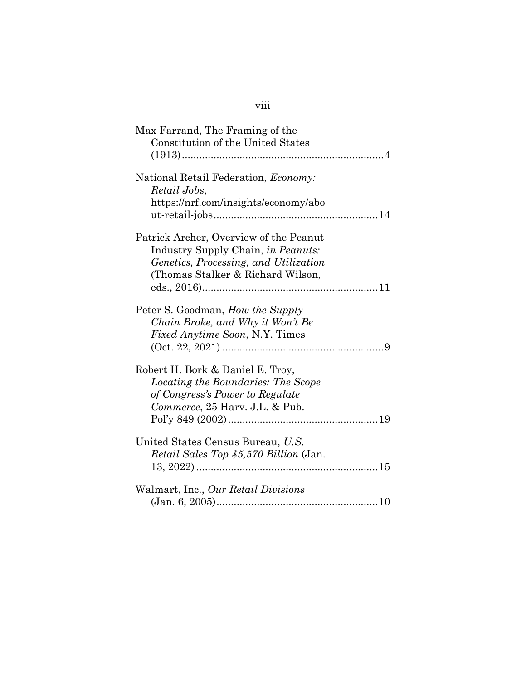| Max Farrand, The Framing of the               |
|-----------------------------------------------|
| <b>Constitution of the United States</b>      |
|                                               |
|                                               |
| National Retail Federation, <i>Economy</i> :  |
|                                               |
| Retail Jobs,                                  |
| https://nrf.com/insights/economy/abo          |
|                                               |
|                                               |
| Patrick Archer, Overview of the Peanut        |
| Industry Supply Chain, in Peanuts:            |
| Genetics, Processing, and Utilization         |
| (Thomas Stalker & Richard Wilson,             |
|                                               |
|                                               |
| Peter S. Goodman, <i>How the Supply</i>       |
| Chain Broke, and Why it Won't Be              |
|                                               |
| <i>Fixed Anytime Soon, N.Y. Times</i>         |
|                                               |
|                                               |
| Robert H. Bork & Daniel E. Troy,              |
| Locating the Boundaries: The Scope            |
| of Congress's Power to Regulate               |
| Commerce, 25 Harv. J.L. & Pub.                |
|                                               |
|                                               |
| United States Census Bureau, U.S.             |
| <i>Retail Sales Top \$5,570 Billion (Jan.</i> |
|                                               |
|                                               |
| Walmart, Inc., Our Retail Divisions           |
|                                               |
|                                               |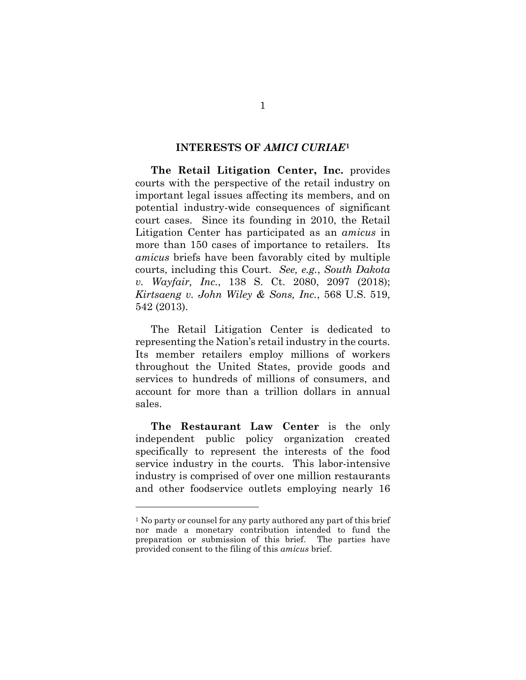#### **INTERESTS OF** *AMICI CURIAE***<sup>1</sup>**

**The Retail Litigation Center, Inc.** provides courts with the perspective of the retail industry on important legal issues affecting its members, and on potential industry-wide consequences of significant court cases. Since its founding in 2010, the Retail Litigation Center has participated as an *amicus* in more than 150 cases of importance to retailers. Its *amicus* briefs have been favorably cited by multiple courts, including this Court. *See, e.g.*, *South Dakota v. Wayfair, Inc.*, 138 S. Ct. 2080, 2097 (2018); *Kirtsaeng v. John Wiley & Sons, Inc.*, 568 U.S. 519, 542 (2013).

The Retail Litigation Center is dedicated to representing the Nation's retail industry in the courts. Its member retailers employ millions of workers throughout the United States, provide goods and services to hundreds of millions of consumers, and account for more than a trillion dollars in annual sales.

**The Restaurant Law Center** is the only independent public policy organization created specifically to represent the interests of the food service industry in the courts. This labor-intensive industry is comprised of over one million restaurants and other foodservice outlets employing nearly 16

l

1

<sup>&</sup>lt;sup>1</sup> No party or counsel for any party authored any part of this brief nor made a monetary contribution intended to fund the preparation or submission of this brief. The parties have provided consent to the filing of this *amicus* brief.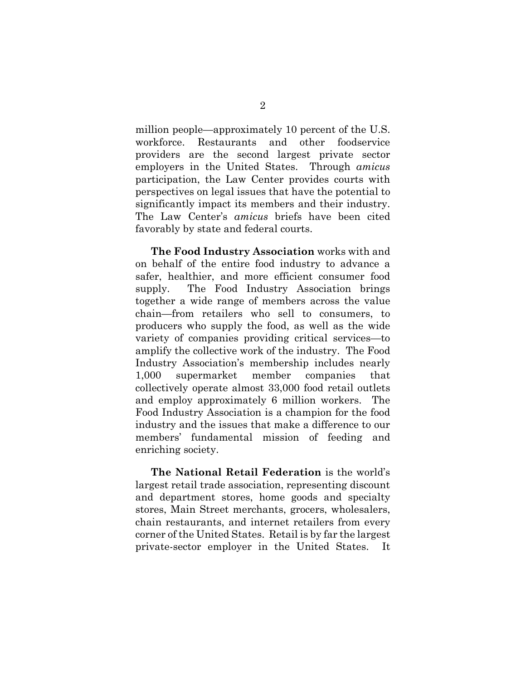million people—approximately 10 percent of the U.S. workforce. Restaurants and other foodservice providers are the second largest private sector employers in the United States. Through *amicus* participation, the Law Center provides courts with perspectives on legal issues that have the potential to significantly impact its members and their industry. The Law Center's *amicus* briefs have been cited favorably by state and federal courts.

**The Food Industry Association** works with and on behalf of the entire food industry to advance a safer, healthier, and more efficient consumer food supply. The Food Industry Association brings together a wide range of members across the value chain—from retailers who sell to consumers, to producers who supply the food, as well as the wide variety of companies providing critical services—to amplify the collective work of the industry. The Food Industry Association's membership includes nearly 1,000 supermarket member companies that collectively operate almost 33,000 food retail outlets and employ approximately 6 million workers. The Food Industry Association is a champion for the food industry and the issues that make a difference to our members' fundamental mission of feeding and enriching society.

**The National Retail Federation** is the world's largest retail trade association, representing discount and department stores, home goods and specialty stores, Main Street merchants, grocers, wholesalers, chain restaurants, and internet retailers from every corner of the United States. Retail is by far the largest private-sector employer in the United States. It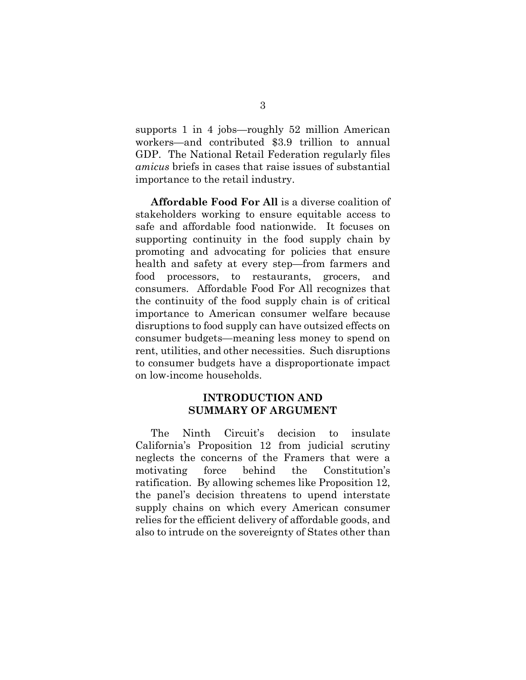supports 1 in 4 jobs—roughly 52 million American workers—and contributed \$3.9 trillion to annual GDP. The National Retail Federation regularly files *amicus* briefs in cases that raise issues of substantial importance to the retail industry.

**Affordable Food For All** is a diverse coalition of stakeholders working to ensure equitable access to safe and affordable food nationwide. It focuses on supporting continuity in the food supply chain by promoting and advocating for policies that ensure health and safety at every step—from farmers and food processors, to restaurants, grocers, and consumers. Affordable Food For All recognizes that the continuity of the food supply chain is of critical importance to American consumer welfare because disruptions to food supply can have outsized effects on consumer budgets—meaning less money to spend on rent, utilities, and other necessities. Such disruptions to consumer budgets have a disproportionate impact on low-income households.

### **INTRODUCTION AND SUMMARY OF ARGUMENT**

The Ninth Circuit's decision to insulate California's Proposition 12 from judicial scrutiny neglects the concerns of the Framers that were a motivating force behind the Constitution's ratification. By allowing schemes like Proposition 12, the panel's decision threatens to upend interstate supply chains on which every American consumer relies for the efficient delivery of affordable goods, and also to intrude on the sovereignty of States other than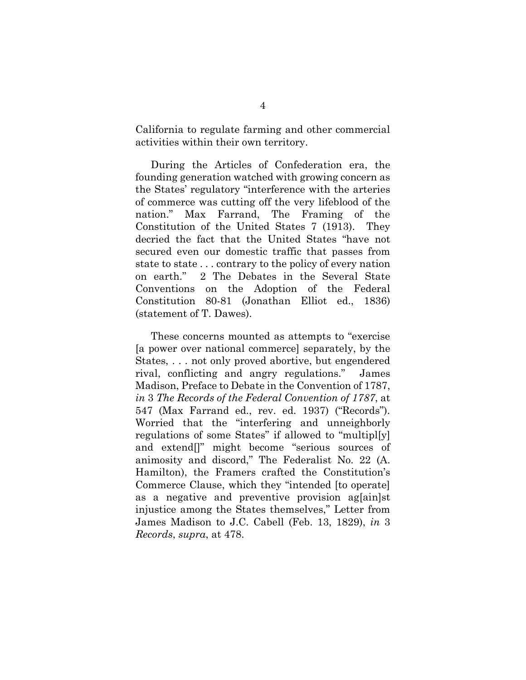California to regulate farming and other commercial activities within their own territory.

During the Articles of Confederation era, the founding generation watched with growing concern as the States' regulatory "interference with the arteries of commerce was cutting off the very lifeblood of the nation." Max Farrand, The Framing of the Constitution of the United States 7 (1913). They decried the fact that the United States "have not secured even our domestic traffic that passes from state to state . . . contrary to the policy of every nation on earth." 2 The Debates in the Several State Conventions on the Adoption of the Federal Constitution 80-81 (Jonathan Elliot ed., 1836) (statement of T. Dawes).

These concerns mounted as attempts to "exercise [a power over national commerce] separately, by the States, . . . not only proved abortive, but engendered rival, conflicting and angry regulations." James Madison, Preface to Debate in the Convention of 1787, *in* 3 *The Records of the Federal Convention of 1787*, at 547 (Max Farrand ed., rev. ed. 1937) ("Records"). Worried that the "interfering and unneighborly regulations of some States" if allowed to "multipl[y] and extend[]" might become "serious sources of animosity and discord," The Federalist No. 22 (A. Hamilton), the Framers crafted the Constitution's Commerce Clause, which they "intended [to operate] as a negative and preventive provision ag[ain]st injustice among the States themselves," Letter from James Madison to J.C. Cabell (Feb. 13, 1829), *in* 3 *Records*, *supra*, at 478.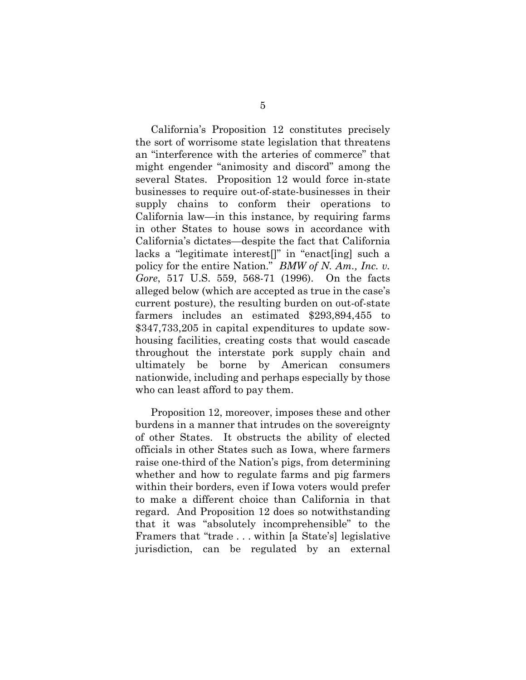California's Proposition 12 constitutes precisely the sort of worrisome state legislation that threatens an "interference with the arteries of commerce" that might engender "animosity and discord" among the several States. Proposition 12 would force in-state businesses to require out-of-state-businesses in their supply chains to conform their operations to California law—in this instance, by requiring farms in other States to house sows in accordance with California's dictates—despite the fact that California lacks a "legitimate interest[]" in "enact[ing] such a policy for the entire Nation." *BMW of N. Am., Inc. v. Gore*, 517 U.S. 559, 568-71 (1996). On the facts alleged below (which are accepted as true in the case's current posture), the resulting burden on out-of-state farmers includes an estimated \$293,894,455 to \$347,733,205 in capital expenditures to update sowhousing facilities, creating costs that would cascade throughout the interstate pork supply chain and ultimately be borne by American consumers nationwide, including and perhaps especially by those who can least afford to pay them.

Proposition 12, moreover, imposes these and other burdens in a manner that intrudes on the sovereignty of other States. It obstructs the ability of elected officials in other States such as Iowa, where farmers raise one-third of the Nation's pigs, from determining whether and how to regulate farms and pig farmers within their borders, even if Iowa voters would prefer to make a different choice than California in that regard. And Proposition 12 does so notwithstanding that it was "absolutely incomprehensible" to the Framers that "trade . . . within [a State's] legislative jurisdiction, can be regulated by an external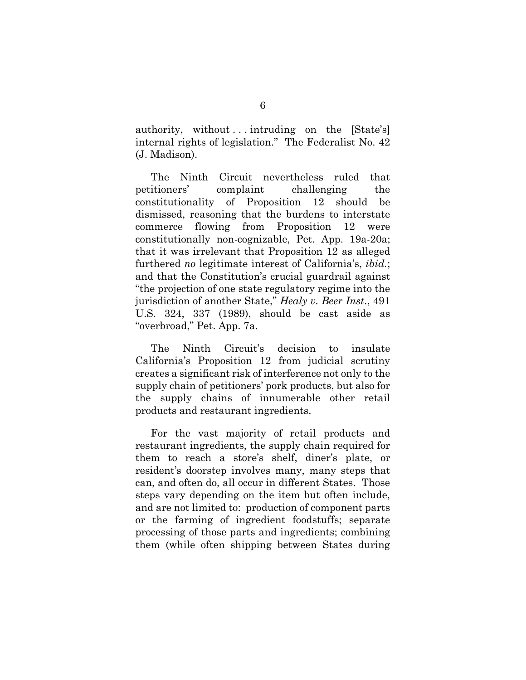authority, without ... intruding on the  $[State's]$ internal rights of legislation." The Federalist No. 42 (J. Madison).

The Ninth Circuit nevertheless ruled that petitioners' complaint challenging the constitutionality of Proposition 12 should be dismissed, reasoning that the burdens to interstate commerce flowing from Proposition 12 were constitutionally non-cognizable, Pet. App. 19a-20a; that it was irrelevant that Proposition 12 as alleged furthered *no* legitimate interest of California's, *ibid.*; and that the Constitution's crucial guardrail against "the projection of one state regulatory regime into the jurisdiction of another State," *Healy v. Beer Inst*., 491 U.S. 324, 337 (1989), should be cast aside as "overbroad," Pet. App. 7a.

The Ninth Circuit's decision to insulate California's Proposition 12 from judicial scrutiny creates a significant risk of interference not only to the supply chain of petitioners' pork products, but also for the supply chains of innumerable other retail products and restaurant ingredients.

For the vast majority of retail products and restaurant ingredients, the supply chain required for them to reach a store's shelf, diner's plate, or resident's doorstep involves many, many steps that can, and often do, all occur in different States. Those steps vary depending on the item but often include, and are not limited to: production of component parts or the farming of ingredient foodstuffs; separate processing of those parts and ingredients; combining them (while often shipping between States during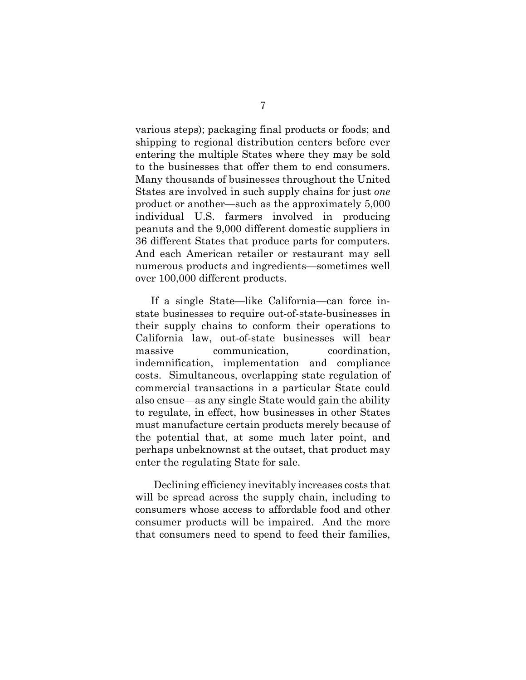various steps); packaging final products or foods; and shipping to regional distribution centers before ever entering the multiple States where they may be sold to the businesses that offer them to end consumers. Many thousands of businesses throughout the United States are involved in such supply chains for just *one* product or another—such as the approximately 5,000 individual U.S. farmers involved in producing peanuts and the 9,000 different domestic suppliers in 36 different States that produce parts for computers. And each American retailer or restaurant may sell numerous products and ingredients—sometimes well over 100,000 different products.

If a single State—like California—can force instate businesses to require out-of-state-businesses in their supply chains to conform their operations to California law, out-of-state businesses will bear massive communication, coordination, indemnification, implementation and compliance costs. Simultaneous, overlapping state regulation of commercial transactions in a particular State could also ensue—as any single State would gain the ability to regulate, in effect, how businesses in other States must manufacture certain products merely because of the potential that, at some much later point, and perhaps unbeknownst at the outset, that product may enter the regulating State for sale.

Declining efficiency inevitably increases costs that will be spread across the supply chain, including to consumers whose access to affordable food and other consumer products will be impaired. And the more that consumers need to spend to feed their families,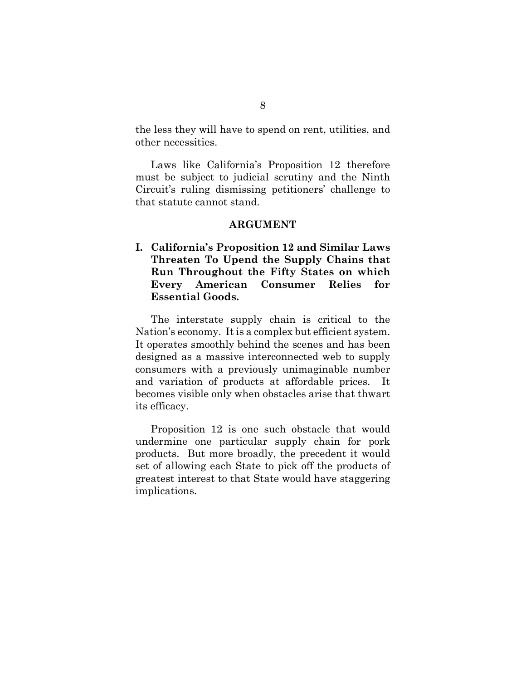the less they will have to spend on rent, utilities, and other necessities.

Laws like California's Proposition 12 therefore must be subject to judicial scrutiny and the Ninth Circuit's ruling dismissing petitioners' challenge to that statute cannot stand.

#### **ARGUMENT**

**I. California's Proposition 12 and Similar Laws Threaten To Upend the Supply Chains that Run Throughout the Fifty States on which Every American Consumer Relies for Essential Goods.** 

The interstate supply chain is critical to the Nation's economy. It is a complex but efficient system. It operates smoothly behind the scenes and has been designed as a massive interconnected web to supply consumers with a previously unimaginable number and variation of products at affordable prices. It becomes visible only when obstacles arise that thwart its efficacy.

Proposition 12 is one such obstacle that would undermine one particular supply chain for pork products. But more broadly, the precedent it would set of allowing each State to pick off the products of greatest interest to that State would have staggering implications.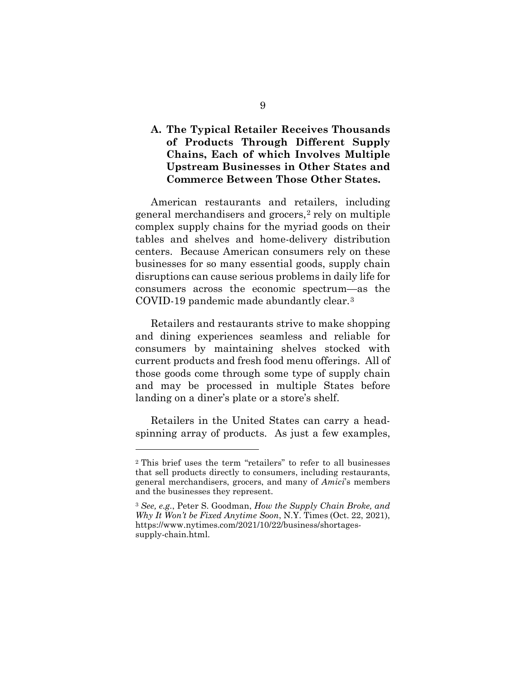## **A. The Typical Retailer Receives Thousands of Products Through Different Supply Chains, Each of which Involves Multiple Upstream Businesses in Other States and Commerce Between Those Other States.**

American restaurants and retailers, including general merchandisers and grocers,2 rely on multiple complex supply chains for the myriad goods on their tables and shelves and home-delivery distribution centers. Because American consumers rely on these businesses for so many essential goods, supply chain disruptions can cause serious problems in daily life for consumers across the economic spectrum—as the COVID-19 pandemic made abundantly clear.3

Retailers and restaurants strive to make shopping and dining experiences seamless and reliable for consumers by maintaining shelves stocked with current products and fresh food menu offerings. All of those goods come through some type of supply chain and may be processed in multiple States before landing on a diner's plate or a store's shelf.

Retailers in the United States can carry a headspinning array of products. As just a few examples,

<sup>2</sup> This brief uses the term "retailers" to refer to all businesses that sell products directly to consumers, including restaurants, general merchandisers, grocers, and many of *Amici*'s members and the businesses they represent.

<sup>3</sup> *See, e.g.*, Peter S. Goodman, *How the Supply Chain Broke, and Why It Won't be Fixed Anytime Soon*, N.Y. Times (Oct. 22, 2021), https://www.nytimes.com/2021/10/22/business/shortagessupply-chain.html.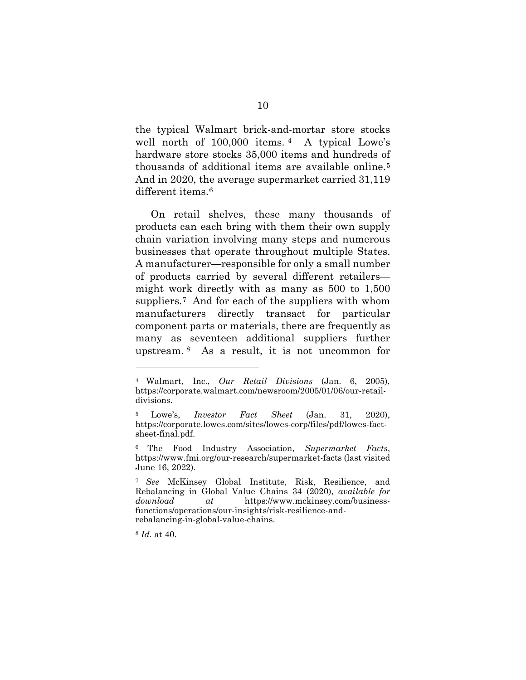the typical Walmart brick-and-mortar store stocks well north of 100,000 items. 4 A typical Lowe's hardware store stocks 35,000 items and hundreds of thousands of additional items are available online.5 And in 2020, the average supermarket carried 31,119 different items.<sup>6</sup>

On retail shelves, these many thousands of products can each bring with them their own supply chain variation involving many steps and numerous businesses that operate throughout multiple States. A manufacturer—responsible for only a small number of products carried by several different retailers might work directly with as many as 500 to 1,500 suppliers.7 And for each of the suppliers with whom manufacturers directly transact for particular component parts or materials, there are frequently as many as seventeen additional suppliers further upstream. 8 As a result, it is not uncommon for

<sup>8</sup> *Id.* at 40.

<sup>4</sup> Walmart, Inc., *Our Retail Divisions* (Jan. 6, 2005), https://corporate.walmart.com/newsroom/2005/01/06/our-retaildivisions.

<sup>5</sup> Lowe's, *Investor Fact Sheet* (Jan. 31, 2020), https://corporate.lowes.com/sites/lowes-corp/files/pdf/lowes-factsheet-final.pdf.

<sup>6</sup> The Food Industry Association, *Supermarket Facts*, https://www.fmi.org/our-research/supermarket-facts (last visited June 16, 2022).

<sup>7</sup> *See* McKinsey Global Institute, Risk, Resilience, and Rebalancing in Global Value Chains 34 (2020), *available for download at* https://www.mckinsey.com/businessfunctions/operations/our-insights/risk-resilience-andrebalancing-in-global-value-chains.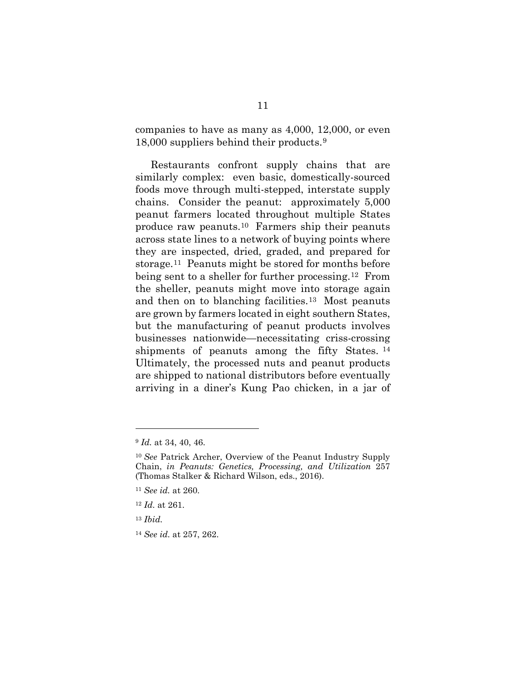companies to have as many as 4,000, 12,000, or even 18,000 suppliers behind their products.9

Restaurants confront supply chains that are similarly complex: even basic, domestically-sourced foods move through multi-stepped, interstate supply chains. Consider the peanut: approximately 5,000 peanut farmers located throughout multiple States produce raw peanuts.10 Farmers ship their peanuts across state lines to a network of buying points where they are inspected, dried, graded, and prepared for storage.11 Peanuts might be stored for months before being sent to a sheller for further processing.12 From the sheller, peanuts might move into storage again and then on to blanching facilities.13 Most peanuts are grown by farmers located in eight southern States, but the manufacturing of peanut products involves businesses nationwide—necessitating criss-crossing shipments of peanuts among the fifty States.<sup>14</sup> Ultimately, the processed nuts and peanut products are shipped to national distributors before eventually arriving in a diner's Kung Pao chicken, in a jar of

<sup>9</sup> *Id.* at 34, 40, 46.

<sup>10</sup> *See* Patrick Archer, Overview of the Peanut Industry Supply Chain, *in Peanuts: Genetics, Processing, and Utilization* 257 (Thomas Stalker & Richard Wilson, eds., 2016).

<sup>11</sup> *See id.* at 260.

<sup>12</sup> *Id.* at 261.

<sup>13</sup> *Ibid.*

<sup>14</sup> *See id.* at 257, 262.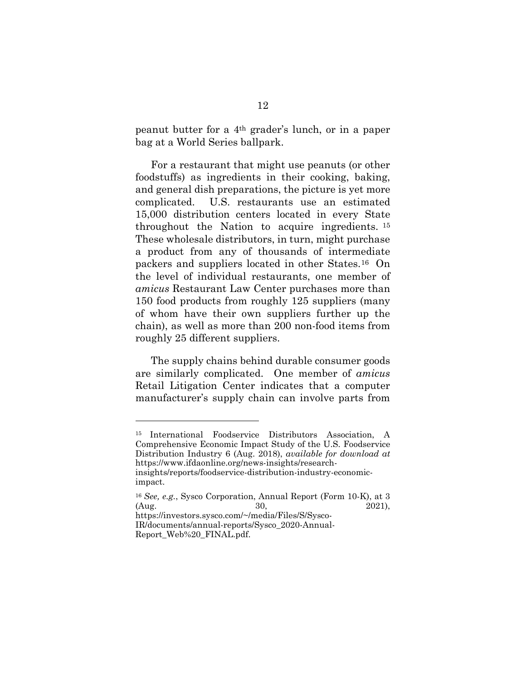peanut butter for a 4th grader's lunch, or in a paper bag at a World Series ballpark.

For a restaurant that might use peanuts (or other foodstuffs) as ingredients in their cooking, baking, and general dish preparations, the picture is yet more complicated. U.S. restaurants use an estimated 15,000 distribution centers located in every State throughout the Nation to acquire ingredients. 15 These wholesale distributors, in turn, might purchase a product from any of thousands of intermediate packers and suppliers located in other States.16 On the level of individual restaurants, one member of *amicus* Restaurant Law Center purchases more than 150 food products from roughly 125 suppliers (many of whom have their own suppliers further up the chain), as well as more than 200 non-food items from roughly 25 different suppliers.

The supply chains behind durable consumer goods are similarly complicated. One member of *amicus* Retail Litigation Center indicates that a computer manufacturer's supply chain can involve parts from

<sup>15</sup> International Foodservice Distributors Association, A Comprehensive Economic Impact Study of the U.S. Foodservice Distribution Industry 6 (Aug. 2018), *available for download at*  https://www.ifdaonline.org/news-insights/researchinsights/reports/foodservice-distribution-industry-economicimpact.

<sup>16</sup> *See, e.g.*, Sysco Corporation, Annual Report (Form 10-K), at 3 (Aug. 2021), https://investors.sysco.com/~/media/Files/S/Sysco-

IR/documents/annual-reports/Sysco\_2020-Annual-Report\_Web%20\_FINAL.pdf.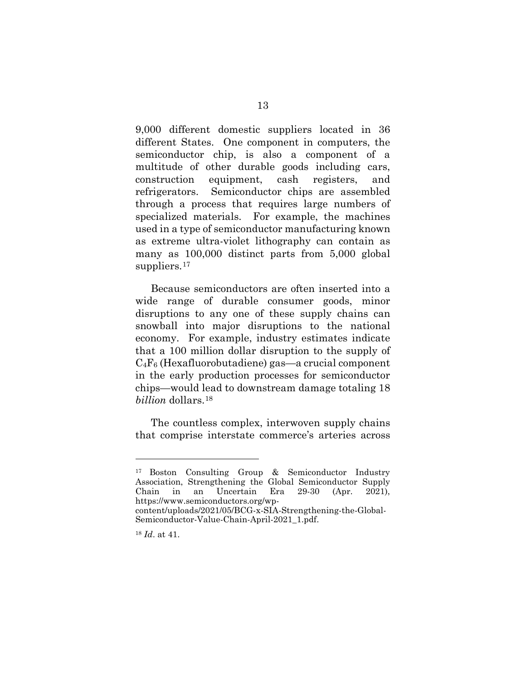9,000 different domestic suppliers located in 36 different States. One component in computers, the semiconductor chip, is also a component of a multitude of other durable goods including cars, construction equipment, cash registers, and refrigerators. Semiconductor chips are assembled through a process that requires large numbers of specialized materials. For example, the machines used in a type of semiconductor manufacturing known as extreme ultra-violet lithography can contain as many as 100,000 distinct parts from 5,000 global suppliers.<sup>17</sup>

Because semiconductors are often inserted into a wide range of durable consumer goods, minor disruptions to any one of these supply chains can snowball into major disruptions to the national economy. For example, industry estimates indicate that a 100 million dollar disruption to the supply of  $C_4F_6$  (Hexafluorobutadiene) gas—a crucial component in the early production processes for semiconductor chips—would lead to downstream damage totaling 18 *billion* dollars.18

The countless complex, interwoven supply chains that comprise interstate commerce's arteries across

<sup>17</sup> Boston Consulting Group & Semiconductor Industry Association, Strengthening the Global Semiconductor Supply Chain in an Uncertain Era 29-30 (Apr. 2021), https://www.semiconductors.org/wp-

content/uploads/2021/05/BCG-x-SIA-Strengthening-the-Global-Semiconductor-Value-Chain-April-2021\_1.pdf.

<sup>18</sup> *Id*. at 41.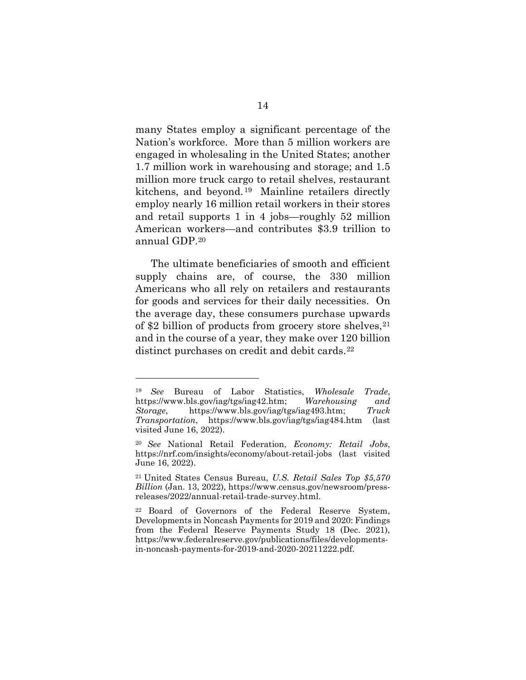many States employ a significant percentage of the Nation's workforce. More than 5 million workers are engaged in wholesaling in the United States; another 1.7 million work in warehousing and storage; and 1.5 million more truck cargo to retail shelves, restaurant kitchens, and beyond. 19 Mainline retailers directly employ nearly 16 million retail workers in their stores and retail supports 1 in 4 jobs—roughly 52 million American workers—and contributes \$3.9 trillion to annual GDP.20

The ultimate beneficiaries of smooth and efficient supply chains are, of course, the 330 million Americans who all rely on retailers and restaurants for goods and services for their daily necessities. On the average day, these consumers purchase upwards of \$2 billion of products from grocery store shelves,  $21$ and in the course of a year, they make over 120 billion distinct purchases on credit and debit cards.<sup>22</sup>

<sup>19</sup> *See* Bureau of Labor Statistics, *Wholesale Trade*, https://www.bls.gov/iag/tgs/iag42.htm; *Warehousing and Storage*, https://www.bls.gov/iag/tgs/iag493.htm; *Truck Transportation*, https://www.bls.gov/iag/tgs/iag484.htm (last visited June 16, 2022).

<sup>20</sup> *See* National Retail Federation, *Economy: Retail Jobs*, https://nrf.com/insights/economy/about-retail-jobs (last visited June 16, 2022).

<sup>21</sup> United States Census Bureau, *U.S. Retail Sales Top \$5,570 Billion* (Jan. 13, 2022), https://www.census.gov/newsroom/pressreleases/2022/annual-retail-trade-survey.html.

<sup>22</sup> Board of Governors of the Federal Reserve System, Developments in Noncash Payments for 2019 and 2020: Findings from the Federal Reserve Payments Study 18 (Dec. 2021), https://www.federalreserve.gov/publications/files/developmentsin-noncash-payments-for-2019-and-2020-20211222.pdf.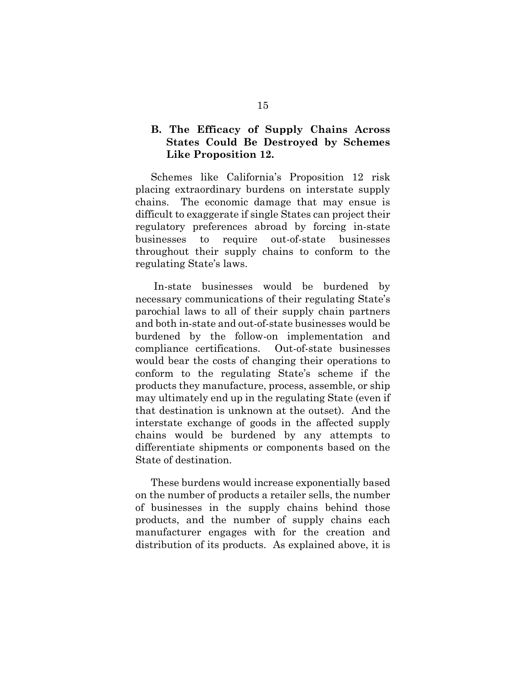### **B. The Efficacy of Supply Chains Across States Could Be Destroyed by Schemes Like Proposition 12.**

Schemes like California's Proposition 12 risk placing extraordinary burdens on interstate supply chains. The economic damage that may ensue is difficult to exaggerate if single States can project their regulatory preferences abroad by forcing in-state businesses to require out-of-state businesses throughout their supply chains to conform to the regulating State's laws.

In-state businesses would be burdened by necessary communications of their regulating State's parochial laws to all of their supply chain partners and both in-state and out-of-state businesses would be burdened by the follow-on implementation and compliance certifications. Out-of-state businesses would bear the costs of changing their operations to conform to the regulating State's scheme if the products they manufacture, process, assemble, or ship may ultimately end up in the regulating State (even if that destination is unknown at the outset). And the interstate exchange of goods in the affected supply chains would be burdened by any attempts to differentiate shipments or components based on the State of destination.

These burdens would increase exponentially based on the number of products a retailer sells, the number of businesses in the supply chains behind those products, and the number of supply chains each manufacturer engages with for the creation and distribution of its products. As explained above, it is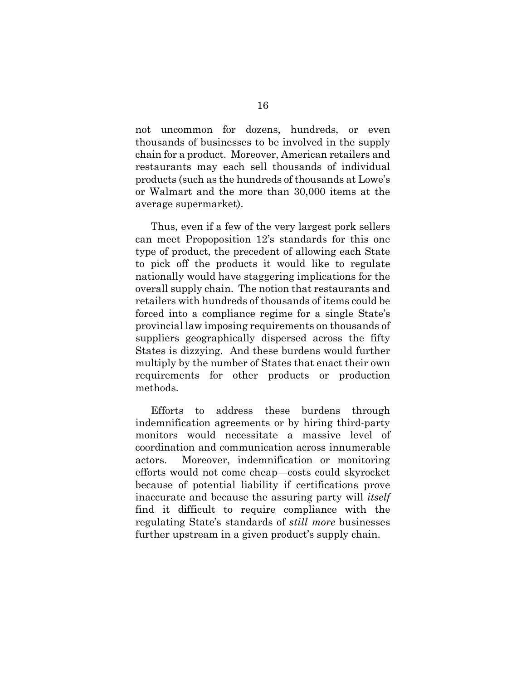not uncommon for dozens, hundreds, or even thousands of businesses to be involved in the supply chain for a product. Moreover, American retailers and restaurants may each sell thousands of individual products (such as the hundreds of thousands at Lowe's or Walmart and the more than 30,000 items at the average supermarket).

Thus, even if a few of the very largest pork sellers can meet Propoposition 12's standards for this one type of product, the precedent of allowing each State to pick off the products it would like to regulate nationally would have staggering implications for the overall supply chain. The notion that restaurants and retailers with hundreds of thousands of items could be forced into a compliance regime for a single State's provincial law imposing requirements on thousands of suppliers geographically dispersed across the fifty States is dizzying. And these burdens would further multiply by the number of States that enact their own requirements for other products or production methods.

Efforts to address these burdens through indemnification agreements or by hiring third-party monitors would necessitate a massive level of coordination and communication across innumerable actors. Moreover, indemnification or monitoring efforts would not come cheap—costs could skyrocket because of potential liability if certifications prove inaccurate and because the assuring party will *itself* find it difficult to require compliance with the regulating State's standards of *still more* businesses further upstream in a given product's supply chain.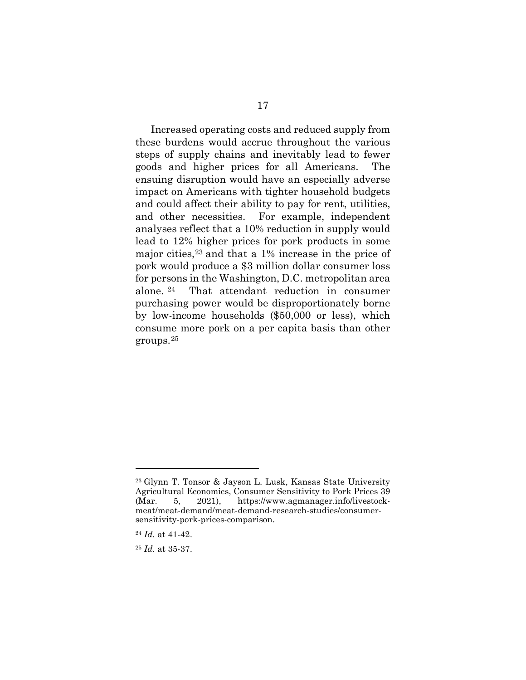Increased operating costs and reduced supply from these burdens would accrue throughout the various steps of supply chains and inevitably lead to fewer goods and higher prices for all Americans. The ensuing disruption would have an especially adverse impact on Americans with tighter household budgets and could affect their ability to pay for rent, utilities, and other necessities. For example, independent analyses reflect that a 10% reduction in supply would lead to 12% higher prices for pork products in some major cities,23 and that a 1% increase in the price of pork would produce a \$3 million dollar consumer loss for persons in the Washington, D.C. metropolitan area alone. <sup>24</sup> That attendant reduction in consumer purchasing power would be disproportionately borne by low-income households (\$50,000 or less), which consume more pork on a per capita basis than other groups.25

<sup>23</sup> Glynn T. Tonsor & Jayson L. Lusk, Kansas State University Agricultural Economics, Consumer Sensitivity to Pork Prices 39 (Mar. 5, 2021), https://www.agmanager.info/livestockmeat/meat-demand/meat-demand-research-studies/consumersensitivity-pork-prices-comparison.

<sup>24</sup> *Id.* at 41-42.

<sup>25</sup> *Id.* at 35-37.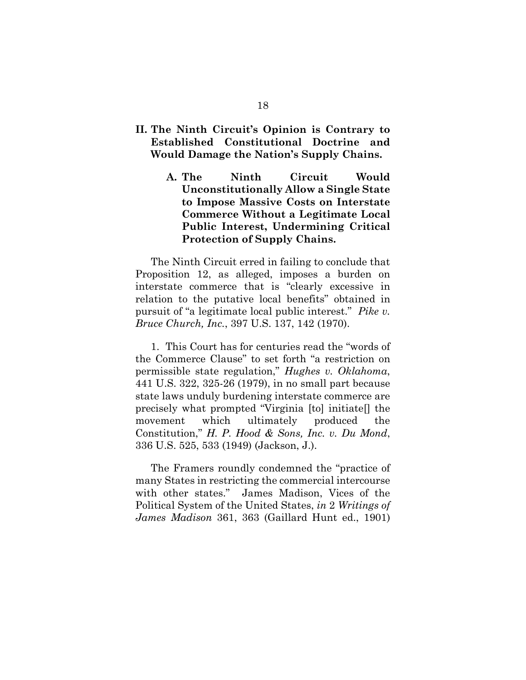- **II. The Ninth Circuit's Opinion is Contrary to Established Constitutional Doctrine and Would Damage the Nation's Supply Chains.**
	- **A. The Ninth Circuit Would Unconstitutionally Allow a Single State to Impose Massive Costs on Interstate Commerce Without a Legitimate Local Public Interest, Undermining Critical Protection of Supply Chains.**

The Ninth Circuit erred in failing to conclude that Proposition 12, as alleged, imposes a burden on interstate commerce that is "clearly excessive in relation to the putative local benefits" obtained in pursuit of "a legitimate local public interest." *Pike v. Bruce Church, Inc.*, 397 U.S. 137, 142 (1970).

1. This Court has for centuries read the "words of the Commerce Clause" to set forth "a restriction on permissible state regulation," *Hughes v. Oklahoma*, 441 U.S. 322, 325-26 (1979), in no small part because state laws unduly burdening interstate commerce are precisely what prompted "Virginia [to] initiate[] the movement which ultimately produced the Constitution," *H. P. Hood & Sons, Inc. v. Du Mond*, 336 U.S. 525, 533 (1949) (Jackson, J.).

The Framers roundly condemned the "practice of many States in restricting the commercial intercourse with other states." James Madison, Vices of the Political System of the United States, *in* 2 *Writings of James Madison* 361, 363 (Gaillard Hunt ed., 1901)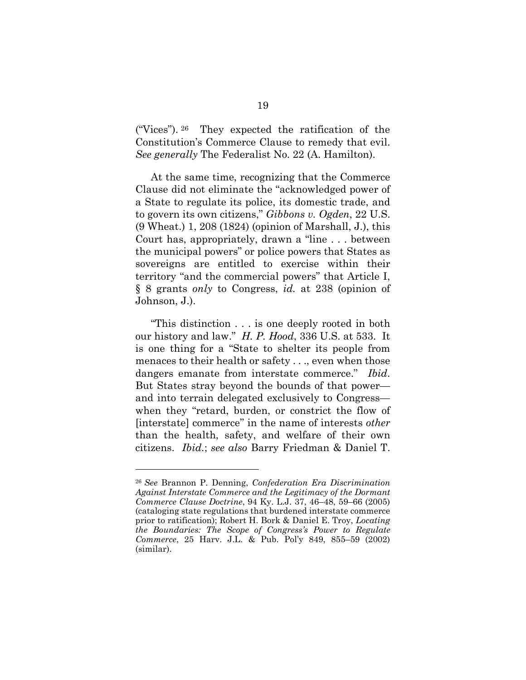("Vices"). 26 They expected the ratification of the Constitution's Commerce Clause to remedy that evil. *See generally* The Federalist No. 22 (A. Hamilton).

At the same time, recognizing that the Commerce Clause did not eliminate the "acknowledged power of a State to regulate its police, its domestic trade, and to govern its own citizens," *Gibbons v. Ogden*, 22 U.S. (9 Wheat.) 1, 208 (1824) (opinion of Marshall, J.), this Court has, appropriately, drawn a "line . . . between the municipal powers" or police powers that States as sovereigns are entitled to exercise within their territory "and the commercial powers" that Article I, § 8 grants *only* to Congress, *id.* at 238 (opinion of Johnson, J.).

"This distinction . . . is one deeply rooted in both our history and law." *H. P. Hood*, 336 U.S. at 533. It is one thing for a "State to shelter its people from menaces to their health or safety . . ., even when those dangers emanate from interstate commerce." *Ibid*. But States stray beyond the bounds of that power and into terrain delegated exclusively to Congress when they "retard, burden, or constrict the flow of [interstate] commerce" in the name of interests *other* than the health, safety, and welfare of their own citizens. *Ibid.*; *see also* Barry Friedman & Daniel T.

<sup>26</sup> *See* Brannon P. Denning, *Confederation Era Discrimination Against Interstate Commerce and the Legitimacy of the Dormant Commerce Clause Doctrine*, 94 Ky. L.J. 37, 46–48, 59–66 (2005) (cataloging state regulations that burdened interstate commerce prior to ratification); Robert H. Bork & Daniel E. Troy, *Locating the Boundaries: The Scope of Congress's Power to Regulate Commerce*, 25 Harv. J.L. & Pub. Pol'y 849, 855–59 (2002) (similar).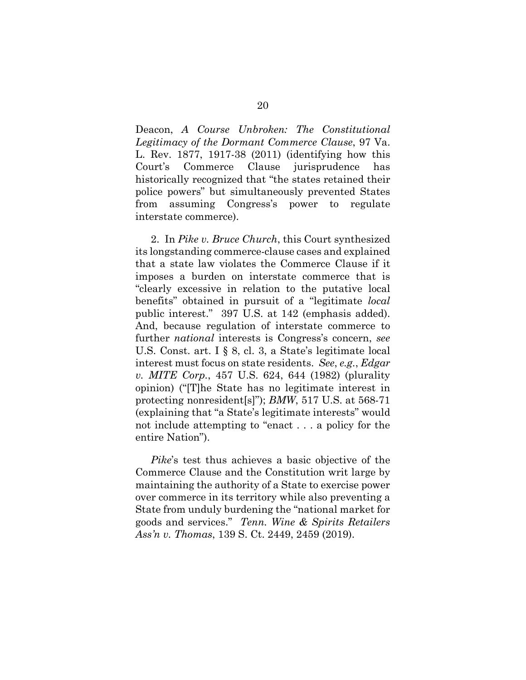Deacon, *A Course Unbroken: The Constitutional Legitimacy of the Dormant Commerce Clause*, 97 Va. L. Rev. 1877, 1917-38 (2011) (identifying how this Court's Commerce Clause jurisprudence has historically recognized that "the states retained their police powers" but simultaneously prevented States from assuming Congress's power to regulate interstate commerce).

2. In *Pike v. Bruce Church*, this Court synthesized its longstanding commerce-clause cases and explained that a state law violates the Commerce Clause if it imposes a burden on interstate commerce that is "clearly excessive in relation to the putative local benefits" obtained in pursuit of a "legitimate *local* public interest." 397 U.S. at 142 (emphasis added). And, because regulation of interstate commerce to further *national* interests is Congress's concern, *see* U.S. Const. art. I § 8, cl. 3, a State's legitimate local interest must focus on state residents. *See*, *e.g.*, *Edgar v. MITE Corp.*, 457 U.S. 624, 644 (1982) (plurality opinion) ("[T]he State has no legitimate interest in protecting nonresident[s]"); *BMW*, 517 U.S. at 568-71 (explaining that "a State's legitimate interests" would not include attempting to "enact . . . a policy for the entire Nation").

*Pike*'s test thus achieves a basic objective of the Commerce Clause and the Constitution writ large by maintaining the authority of a State to exercise power over commerce in its territory while also preventing a State from unduly burdening the "national market for goods and services." *Tenn. Wine & Spirits Retailers Ass'n v. Thomas*, 139 S. Ct. 2449, 2459 (2019).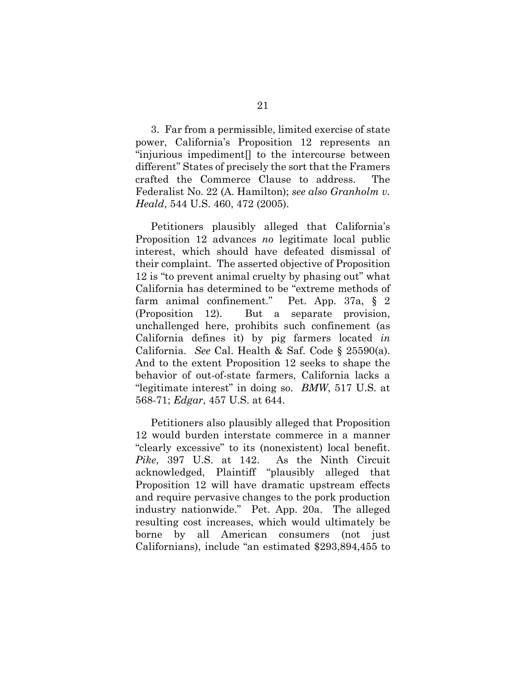3. Far from a permissible, limited exercise of state power, California's Proposition 12 represents an "injurious impediment[] to the intercourse between different" States of precisely the sort that the Framers crafted the Commerce Clause to address. The Federalist No. 22 (A. Hamilton); *see also Granholm v. Heald*, 544 U.S. 460, 472 (2005).

Petitioners plausibly alleged that California's Proposition 12 advances *no* legitimate local public interest, which should have defeated dismissal of their complaint. The asserted objective of Proposition 12 is "to prevent animal cruelty by phasing out" what California has determined to be "extreme methods of farm animal confinement." Pet. App. 37a, § 2 (Proposition 12). But a separate provision, unchallenged here, prohibits such confinement (as California defines it) by pig farmers located *in* California. *See* Cal. Health & Saf. Code § 25590(a). And to the extent Proposition 12 seeks to shape the behavior of out-of-state farmers, California lacks a "legitimate interest" in doing so. *BMW*, 517 U.S. at 568-71; *Edgar*, 457 U.S. at 644.

Petitioners also plausibly alleged that Proposition 12 would burden interstate commerce in a manner "clearly excessive" to its (nonexistent) local benefit. *Pike*, 397 U.S. at 142. As the Ninth Circuit acknowledged, Plaintiff "plausibly alleged that Proposition 12 will have dramatic upstream effects and require pervasive changes to the pork production industry nationwide." Pet. App. 20a. The alleged resulting cost increases, which would ultimately be borne by all American consumers (not just Californians), include "an estimated \$293,894,455 to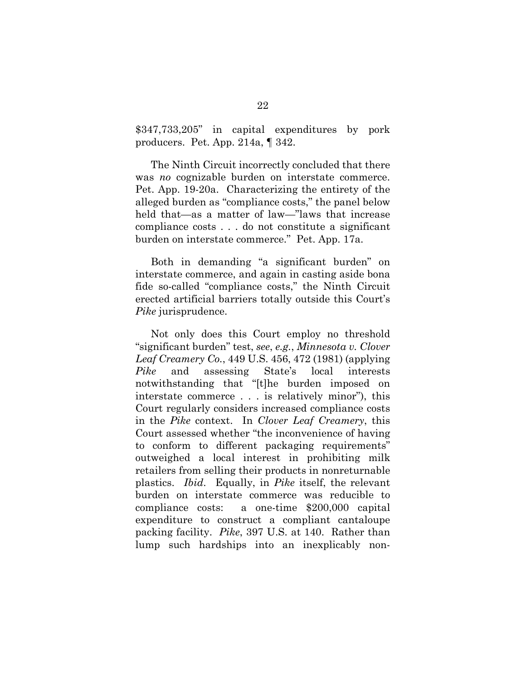\$347,733,205" in capital expenditures by pork producers. Pet. App. 214a, ¶ 342.

The Ninth Circuit incorrectly concluded that there was *no* cognizable burden on interstate commerce. Pet. App. 19-20a. Characterizing the entirety of the alleged burden as "compliance costs," the panel below held that—as a matter of law—"laws that increase compliance costs . . . do not constitute a significant burden on interstate commerce." Pet. App. 17a.

Both in demanding "a significant burden" on interstate commerce, and again in casting aside bona fide so-called "compliance costs," the Ninth Circuit erected artificial barriers totally outside this Court's *Pike* jurisprudence.

Not only does this Court employ no threshold "significant burden" test, *see*, *e.g.*, *Minnesota v. Clover Leaf Creamery Co.*, 449 U.S. 456, 472 (1981) (applying *Pike* and assessing State's local interests notwithstanding that "[t]he burden imposed on interstate commerce . . . is relatively minor"), this Court regularly considers increased compliance costs in the *Pike* context. In *Clover Leaf Creamery*, this Court assessed whether "the inconvenience of having to conform to different packaging requirements" outweighed a local interest in prohibiting milk retailers from selling their products in nonreturnable plastics. *Ibid*. Equally, in *Pike* itself, the relevant burden on interstate commerce was reducible to compliance costs: a one-time \$200,000 capital expenditure to construct a compliant cantaloupe packing facility. *Pike*, 397 U.S. at 140. Rather than lump such hardships into an inexplicably non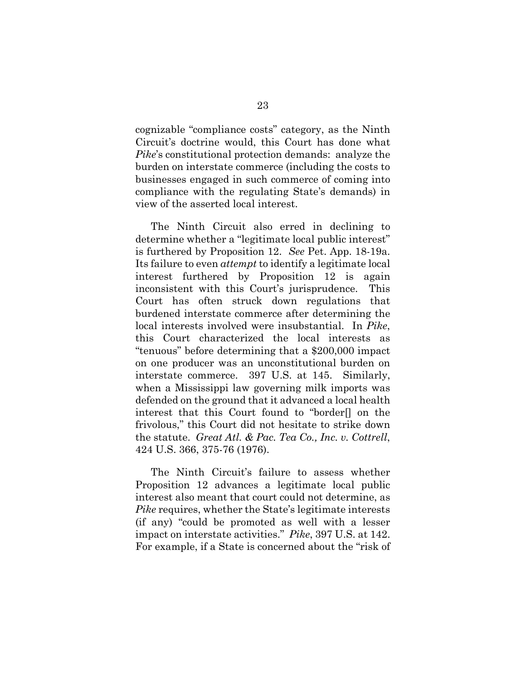cognizable "compliance costs" category, as the Ninth Circuit's doctrine would, this Court has done what *Pike*'s constitutional protection demands: analyze the burden on interstate commerce (including the costs to businesses engaged in such commerce of coming into compliance with the regulating State's demands) in view of the asserted local interest.

The Ninth Circuit also erred in declining to determine whether a "legitimate local public interest" is furthered by Proposition 12. *See* Pet. App. 18-19a. Its failure to even *attempt* to identify a legitimate local interest furthered by Proposition 12 is again inconsistent with this Court's jurisprudence. This Court has often struck down regulations that burdened interstate commerce after determining the local interests involved were insubstantial. In *Pike*, this Court characterized the local interests as "tenuous" before determining that a \$200,000 impact on one producer was an unconstitutional burden on interstate commerce. 397 U.S. at 145. Similarly, when a Mississippi law governing milk imports was defended on the ground that it advanced a local health interest that this Court found to "border[] on the frivolous," this Court did not hesitate to strike down the statute. *Great Atl. & Pac. Tea Co., Inc. v. Cottrell*, 424 U.S. 366, 375-76 (1976).

The Ninth Circuit's failure to assess whether Proposition 12 advances a legitimate local public interest also meant that court could not determine, as *Pike* requires, whether the State's legitimate interests (if any) "could be promoted as well with a lesser impact on interstate activities." *Pike*, 397 U.S. at 142. For example, if a State is concerned about the "risk of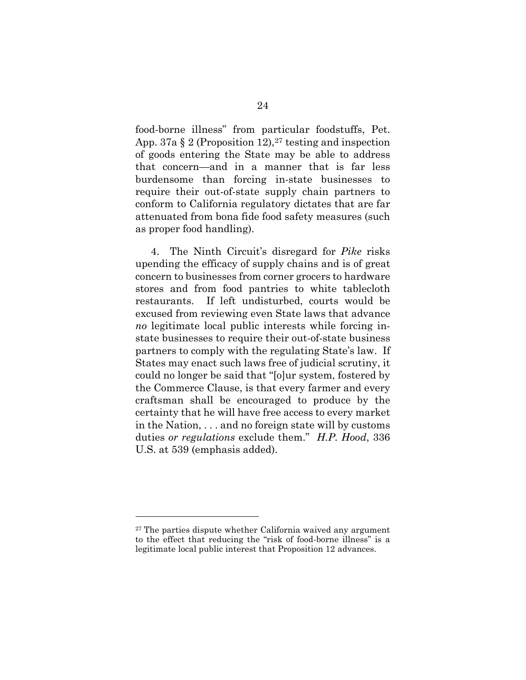food-borne illness" from particular foodstuffs, Pet. App. 37a  $\S 2$  (Proposition 12),<sup>27</sup> testing and inspection of goods entering the State may be able to address that concern—and in a manner that is far less burdensome than forcing in-state businesses to require their out-of-state supply chain partners to conform to California regulatory dictates that are far attenuated from bona fide food safety measures (such as proper food handling).

4. The Ninth Circuit's disregard for *Pike* risks upending the efficacy of supply chains and is of great concern to businesses from corner grocers to hardware stores and from food pantries to white tablecloth restaurants. If left undisturbed, courts would be excused from reviewing even State laws that advance *no* legitimate local public interests while forcing instate businesses to require their out-of-state business partners to comply with the regulating State's law. If States may enact such laws free of judicial scrutiny, it could no longer be said that "[o]ur system, fostered by the Commerce Clause, is that every farmer and every craftsman shall be encouraged to produce by the certainty that he will have free access to every market in the Nation, . . . and no foreign state will by customs duties *or regulations* exclude them." *H.P. Hood*, 336 U.S. at 539 (emphasis added).

<sup>27</sup> The parties dispute whether California waived any argument to the effect that reducing the "risk of food-borne illness" is a legitimate local public interest that Proposition 12 advances.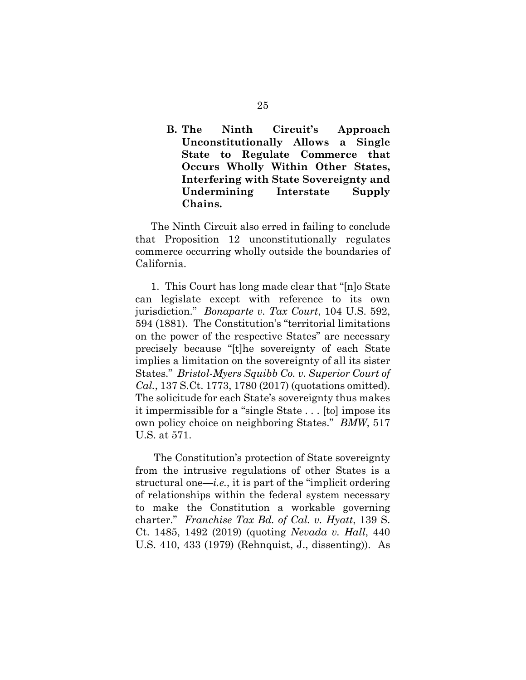## **B. The Ninth Circuit's Approach Unconstitutionally Allows a Single State to Regulate Commerce that Occurs Wholly Within Other States, Interfering with State Sovereignty and Undermining Interstate Supply Chains.**

The Ninth Circuit also erred in failing to conclude that Proposition 12 unconstitutionally regulates commerce occurring wholly outside the boundaries of California.

1. This Court has long made clear that "[n]o State can legislate except with reference to its own jurisdiction." *Bonaparte v. Tax Court*, 104 U.S. 592, 594 (1881). The Constitution's "territorial limitations on the power of the respective States" are necessary precisely because "[t]he sovereignty of each State implies a limitation on the sovereignty of all its sister States." *Bristol-Myers Squibb Co. v. Superior Court of Cal.*, 137 S.Ct. 1773, 1780 (2017) (quotations omitted). The solicitude for each State's sovereignty thus makes it impermissible for a "single State . . . [to] impose its own policy choice on neighboring States." *BMW*, 517 U.S. at 571.

The Constitution's protection of State sovereignty from the intrusive regulations of other States is a structural one—*i.e.*, it is part of the "implicit ordering of relationships within the federal system necessary to make the Constitution a workable governing charter." *Franchise Tax Bd. of Cal. v. Hyatt*, 139 S. Ct. 1485, 1492 (2019) (quoting *Nevada v. Hall*, 440 U.S. 410, 433 (1979) (Rehnquist, J., dissenting)). As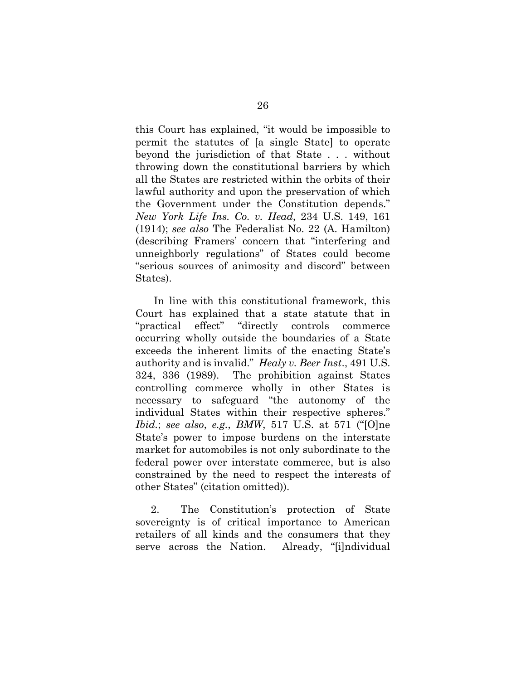this Court has explained, "it would be impossible to permit the statutes of [a single State] to operate beyond the jurisdiction of that State . . . without throwing down the constitutional barriers by which all the States are restricted within the orbits of their lawful authority and upon the preservation of which the Government under the Constitution depends." *New York Life Ins. Co. v. Head*, 234 U.S. 149, 161 (1914); *see also* The Federalist No. 22 (A. Hamilton) (describing Framers' concern that "interfering and unneighborly regulations" of States could become "serious sources of animosity and discord" between States).

In line with this constitutional framework, this Court has explained that a state statute that in "practical effect" "directly controls commerce occurring wholly outside the boundaries of a State exceeds the inherent limits of the enacting State's authority and is invalid." *Healy v. Beer Inst*., 491 U.S. 324, 336 (1989). The prohibition against States controlling commerce wholly in other States is necessary to safeguard "the autonomy of the individual States within their respective spheres." *Ibid.*; *see also*, *e.g.*, *BMW*, 517 U.S. at 571 ("[O]ne State's power to impose burdens on the interstate market for automobiles is not only subordinate to the federal power over interstate commerce, but is also constrained by the need to respect the interests of other States" (citation omitted)).

2. The Constitution's protection of State sovereignty is of critical importance to American retailers of all kinds and the consumers that they serve across the Nation. Already, "[i]ndividual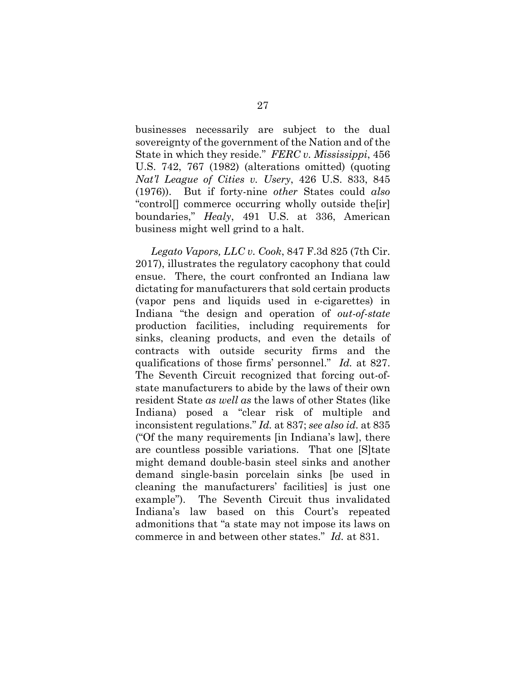businesses necessarily are subject to the dual sovereignty of the government of the Nation and of the State in which they reside." *FERC v. Mississippi*, 456 U.S. 742, 767 (1982) (alterations omitted) (quoting *Nat'l League of Cities v. Usery*, 426 U.S. 833, 845 (1976)). But if forty-nine *other* States could *also*  "control[] commerce occurring wholly outside the[ir] boundaries," *Healy*, 491 U.S. at 336, American business might well grind to a halt.

*Legato Vapors, LLC v. Cook*, 847 F.3d 825 (7th Cir. 2017), illustrates the regulatory cacophony that could ensue. There, the court confronted an Indiana law dictating for manufacturers that sold certain products (vapor pens and liquids used in e-cigarettes) in Indiana "the design and operation of *out-of-state* production facilities, including requirements for sinks, cleaning products, and even the details of contracts with outside security firms and the qualifications of those firms' personnel." *Id.* at 827. The Seventh Circuit recognized that forcing out-ofstate manufacturers to abide by the laws of their own resident State *as well as* the laws of other States (like Indiana) posed a "clear risk of multiple and inconsistent regulations." *Id.* at 837; *see also id.* at 835 ("Of the many requirements [in Indiana's law], there are countless possible variations. That one [S]tate might demand double-basin steel sinks and another demand single-basin porcelain sinks [be used in cleaning the manufacturers' facilities] is just one example"). The Seventh Circuit thus invalidated Indiana's law based on this Court's repeated admonitions that "a state may not impose its laws on commerce in and between other states." *Id.* at 831.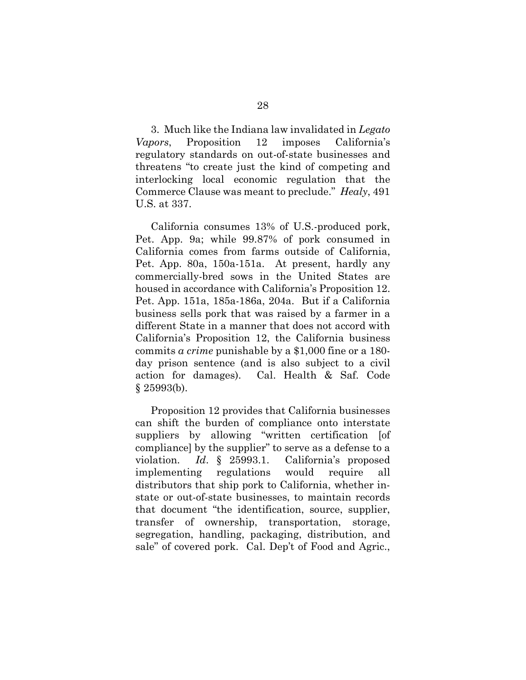3. Much like the Indiana law invalidated in *Legato Vapors*, Proposition 12 imposes California's regulatory standards on out-of-state businesses and threatens "to create just the kind of competing and interlocking local economic regulation that the Commerce Clause was meant to preclude." *Healy*, 491 U.S. at 337.

California consumes 13% of U.S.-produced pork, Pet. App. 9a; while 99.87% of pork consumed in California comes from farms outside of California, Pet. App. 80a, 150a-151a. At present, hardly any commercially-bred sows in the United States are housed in accordance with California's Proposition 12. Pet. App. 151a, 185a-186a, 204a. But if a California business sells pork that was raised by a farmer in a different State in a manner that does not accord with California's Proposition 12, the California business commits *a crime* punishable by a \$1,000 fine or a 180 day prison sentence (and is also subject to a civil action for damages). Cal. Health & Saf. Code  $§$  25993(b).

Proposition 12 provides that California businesses can shift the burden of compliance onto interstate suppliers by allowing "written certification [of compliance] by the supplier" to serve as a defense to a violation. *Id*. § 25993.1. California's proposed implementing regulations would require all distributors that ship pork to California, whether instate or out-of-state businesses, to maintain records that document "the identification, source, supplier, transfer of ownership, transportation, storage, segregation, handling, packaging, distribution, and sale" of covered pork. Cal. Dep't of Food and Agric.,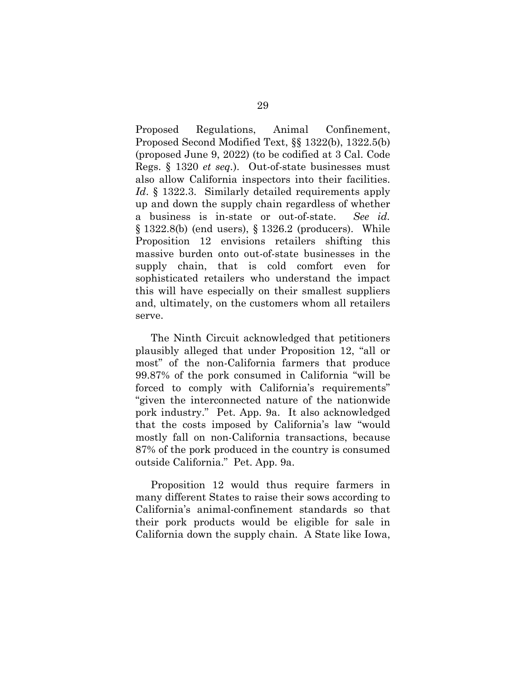Proposed Regulations, Animal Confinement, Proposed Second Modified Text, §§ 1322(b), 1322.5(b) (proposed June 9, 2022) (to be codified at 3 Cal. Code Regs. § 1320 *et seq.*). Out-of-state businesses must also allow California inspectors into their facilities. *Id.* § 1322.3. Similarly detailed requirements apply up and down the supply chain regardless of whether a business is in-state or out-of-state. *See id.*  § 1322.8(b) (end users), § 1326.2 (producers). While Proposition 12 envisions retailers shifting this massive burden onto out-of-state businesses in the supply chain, that is cold comfort even for sophisticated retailers who understand the impact this will have especially on their smallest suppliers and, ultimately, on the customers whom all retailers serve.

The Ninth Circuit acknowledged that petitioners plausibly alleged that under Proposition 12, "all or most" of the non-California farmers that produce 99.87% of the pork consumed in California "will be forced to comply with California's requirements" "given the interconnected nature of the nationwide pork industry." Pet. App. 9a. It also acknowledged that the costs imposed by California's law "would mostly fall on non-California transactions, because 87% of the pork produced in the country is consumed outside California." Pet. App. 9a.

Proposition 12 would thus require farmers in many different States to raise their sows according to California's animal-confinement standards so that their pork products would be eligible for sale in California down the supply chain. A State like Iowa,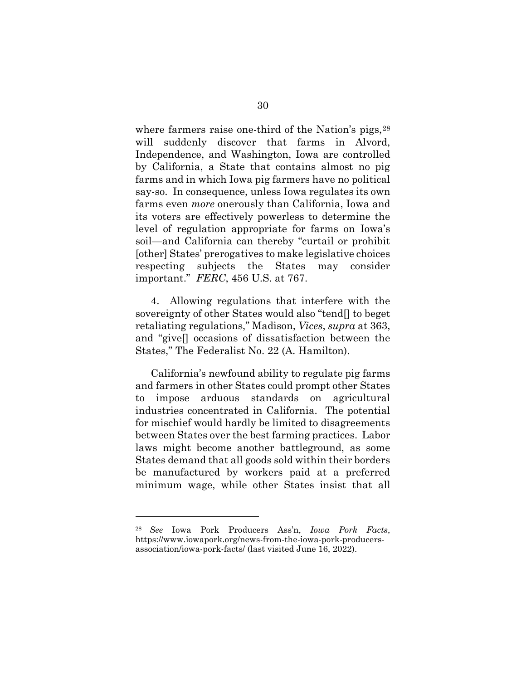where farmers raise one-third of the Nation's pigs,  $28$ will suddenly discover that farms in Alvord, Independence, and Washington, Iowa are controlled by California, a State that contains almost no pig farms and in which Iowa pig farmers have no political say-so. In consequence, unless Iowa regulates its own farms even *more* onerously than California, Iowa and its voters are effectively powerless to determine the level of regulation appropriate for farms on Iowa's soil—and California can thereby "curtail or prohibit [other] States' prerogatives to make legislative choices respecting subjects the States may consider important." *FERC*, 456 U.S. at 767.

4. Allowing regulations that interfere with the sovereignty of other States would also "tend[] to beget retaliating regulations," Madison, *Vices*, *supra* at 363, and "give[] occasions of dissatisfaction between the States," The Federalist No. 22 (A. Hamilton).

California's newfound ability to regulate pig farms and farmers in other States could prompt other States to impose arduous standards on agricultural industries concentrated in California. The potential for mischief would hardly be limited to disagreements between States over the best farming practices. Labor laws might become another battleground, as some States demand that all goods sold within their borders be manufactured by workers paid at a preferred minimum wage, while other States insist that all

<sup>28</sup> *See* Iowa Pork Producers Ass'n, *Iowa Pork Facts*, https://www.iowapork.org/news-from-the-iowa-pork-producersassociation/iowa-pork-facts/ (last visited June 16, 2022).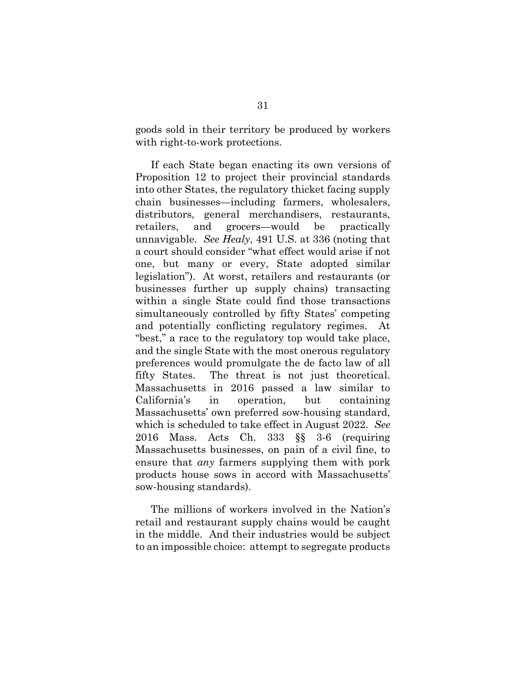goods sold in their territory be produced by workers with right-to-work protections.

If each State began enacting its own versions of Proposition 12 to project their provincial standards into other States, the regulatory thicket facing supply chain businesses—including farmers, wholesalers, distributors, general merchandisers, restaurants, retailers, and grocers—would be practically unnavigable. *See Healy*, 491 U.S. at 336 (noting that a court should consider "what effect would arise if not one, but many or every, State adopted similar legislation"). At worst, retailers and restaurants (or businesses further up supply chains) transacting within a single State could find those transactions simultaneously controlled by fifty States' competing and potentially conflicting regulatory regimes. "best," a race to the regulatory top would take place, and the single State with the most onerous regulatory preferences would promulgate the de facto law of all fifty States. The threat is not just theoretical. Massachusetts in 2016 passed a law similar to California's in operation, but containing Massachusetts' own preferred sow-housing standard, which is scheduled to take effect in August 2022. *See* 2016 Mass. Acts Ch. 333 §§ 3-6 (requiring Massachusetts businesses, on pain of a civil fine, to ensure that *any* farmers supplying them with pork products house sows in accord with Massachusetts' sow-housing standards).

The millions of workers involved in the Nation's retail and restaurant supply chains would be caught in the middle. And their industries would be subject to an impossible choice: attempt to segregate products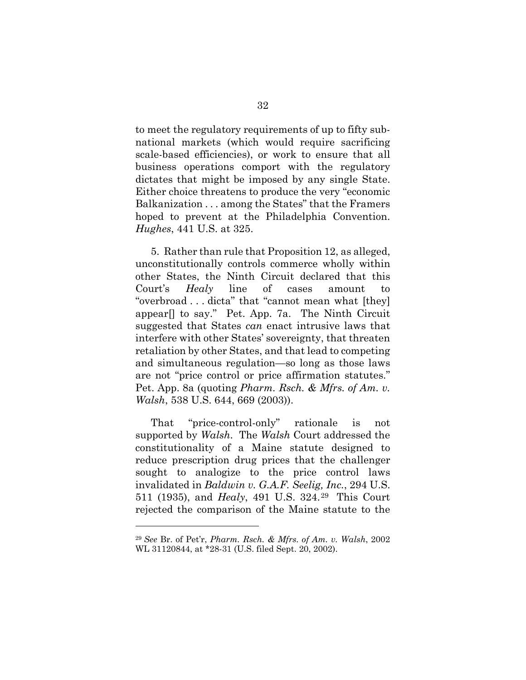to meet the regulatory requirements of up to fifty subnational markets (which would require sacrificing scale-based efficiencies), or work to ensure that all business operations comport with the regulatory dictates that might be imposed by any single State. Either choice threatens to produce the very "economic Balkanization . . . among the States" that the Framers hoped to prevent at the Philadelphia Convention. *Hughes*, 441 U.S. at 325.

5. Rather than rule that Proposition 12, as alleged, unconstitutionally controls commerce wholly within other States, the Ninth Circuit declared that this Court's *Healy* line of cases amount to "overbroad . . . dicta" that "cannot mean what [they] appear[] to say." Pet. App. 7a. The Ninth Circuit suggested that States *can* enact intrusive laws that interfere with other States' sovereignty, that threaten retaliation by other States, and that lead to competing and simultaneous regulation—so long as those laws are not "price control or price affirmation statutes." Pet. App. 8a (quoting *Pharm. Rsch. & Mfrs. of Am. v. Walsh*, 538 U.S. 644, 669 (2003)).

That "price-control-only" rationale is not supported by *Walsh*. The *Walsh* Court addressed the constitutionality of a Maine statute designed to reduce prescription drug prices that the challenger sought to analogize to the price control laws invalidated in *Baldwin v. G.A.F. Seelig, Inc.*, 294 U.S. 511 (1935), and *Healy*, 491 U.S. 324.29 This Court rejected the comparison of the Maine statute to the

<sup>29</sup> *See* Br. of Pet'r, *Pharm. Rsch. & Mfrs. of Am. v. Walsh*, 2002 WL 31120844, at \*28-31 (U.S. filed Sept. 20, 2002).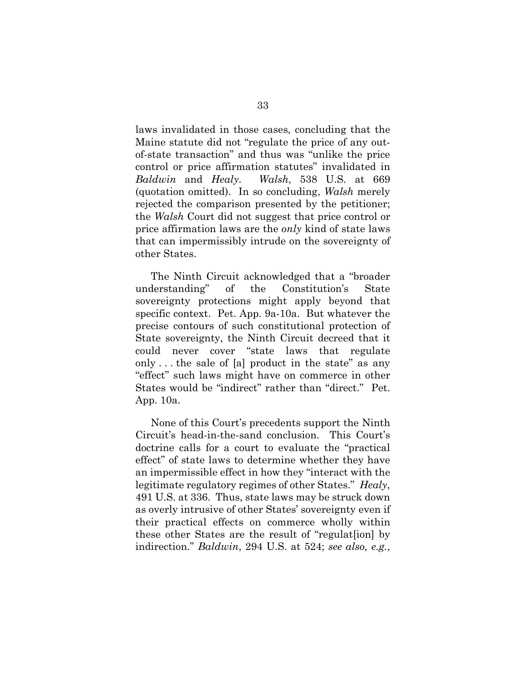laws invalidated in those cases, concluding that the Maine statute did not "regulate the price of any outof-state transaction" and thus was "unlike the price control or price affirmation statutes" invalidated in *Baldwin* and *Healy. Walsh*, 538 U.S. at 669 (quotation omitted). In so concluding, *Walsh* merely rejected the comparison presented by the petitioner; the *Walsh* Court did not suggest that price control or price affirmation laws are the *only* kind of state laws that can impermissibly intrude on the sovereignty of other States.

The Ninth Circuit acknowledged that a "broader understanding" of the Constitution's State sovereignty protections might apply beyond that specific context. Pet. App. 9a-10a. But whatever the precise contours of such constitutional protection of State sovereignty, the Ninth Circuit decreed that it could never cover "state laws that regulate only . . . the sale of [a] product in the state" as any "effect" such laws might have on commerce in other States would be "indirect" rather than "direct." Pet. App. 10a.

None of this Court's precedents support the Ninth Circuit's head-in-the-sand conclusion. This Court's doctrine calls for a court to evaluate the "practical effect" of state laws to determine whether they have an impermissible effect in how they "interact with the legitimate regulatory regimes of other States." *Healy*, 491 U.S. at 336. Thus, state laws may be struck down as overly intrusive of other States' sovereignty even if their practical effects on commerce wholly within these other States are the result of "regulat[ion] by indirection." *Baldwin*, 294 U.S. at 524; *see also, e.g.*,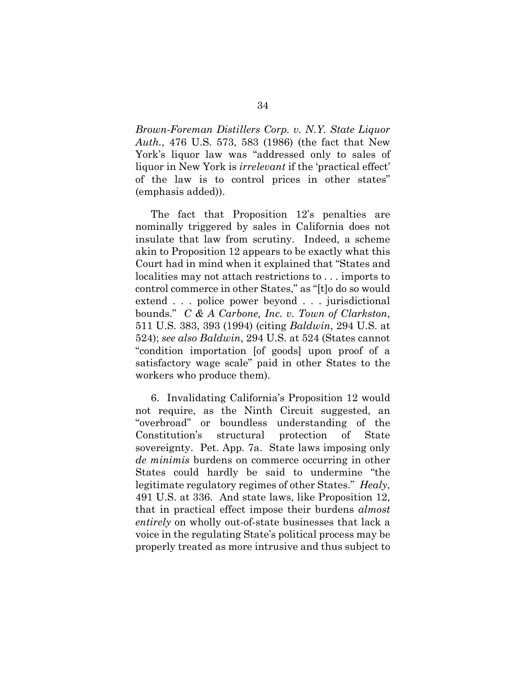*Brown-Foreman Distillers Corp. v. N.Y. State Liquor Auth.*, 476 U.S. 573, 583 (1986) (the fact that New York's liquor law was "addressed only to sales of liquor in New York is *irrelevant* if the 'practical effect' of the law is to control prices in other states" (emphasis added)).

The fact that Proposition 12's penalties are nominally triggered by sales in California does not insulate that law from scrutiny. Indeed, a scheme akin to Proposition 12 appears to be exactly what this Court had in mind when it explained that "States and localities may not attach restrictions to . . . imports to control commerce in other States," as "[t]o do so would extend . . . police power beyond . . . jurisdictional bounds." *C & A Carbone, Inc. v. Town of Clarkston*, 511 U.S. 383, 393 (1994) (citing *Baldwin*, 294 U.S. at 524); *see also Baldwin*, 294 U.S. at 524 (States cannot "condition importation [of goods] upon proof of a satisfactory wage scale" paid in other States to the workers who produce them).

6. Invalidating California's Proposition 12 would not require, as the Ninth Circuit suggested, an "overbroad" or boundless understanding of the Constitution's structural protection of State sovereignty. Pet. App. 7a. State laws imposing only *de minimis* burdens on commerce occurring in other States could hardly be said to undermine "the legitimate regulatory regimes of other States." *Healy*, 491 U.S. at 336. And state laws, like Proposition 12, that in practical effect impose their burdens *almost entirely* on wholly out-of-state businesses that lack a voice in the regulating State's political process may be properly treated as more intrusive and thus subject to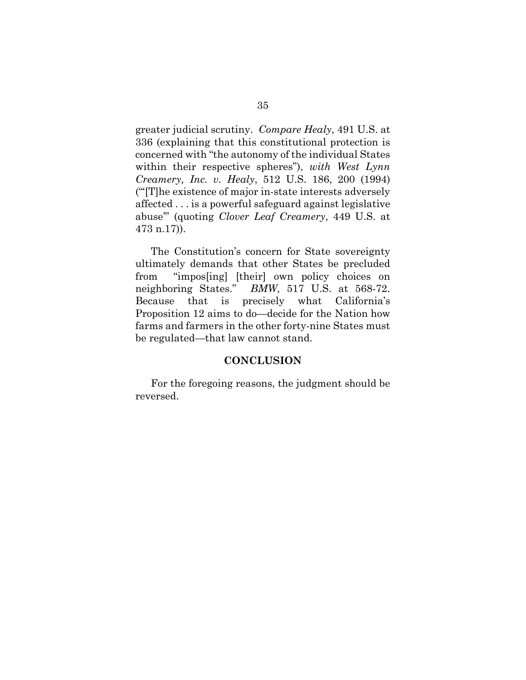greater judicial scrutiny. *Compare Healy*, 491 U.S. at 336 (explaining that this constitutional protection is concerned with "the autonomy of the individual States within their respective spheres"), *with West Lynn Creamery, Inc. v. Healy*, 512 U.S. 186, 200 (1994) ("'[T]he existence of major in-state interests adversely affected . . . is a powerful safeguard against legislative abuse'" (quoting *Clover Leaf Creamery*, 449 U.S. at 473 n.17)).

The Constitution's concern for State sovereignty ultimately demands that other States be precluded from "impos[ing] [their] own policy choices on neighboring States." *BMW*, 517 U.S. at 568-72. Because that is precisely what California's Proposition 12 aims to do—decide for the Nation how farms and farmers in the other forty-nine States must be regulated—that law cannot stand.

#### **CONCLUSION**

For the foregoing reasons, the judgment should be reversed.